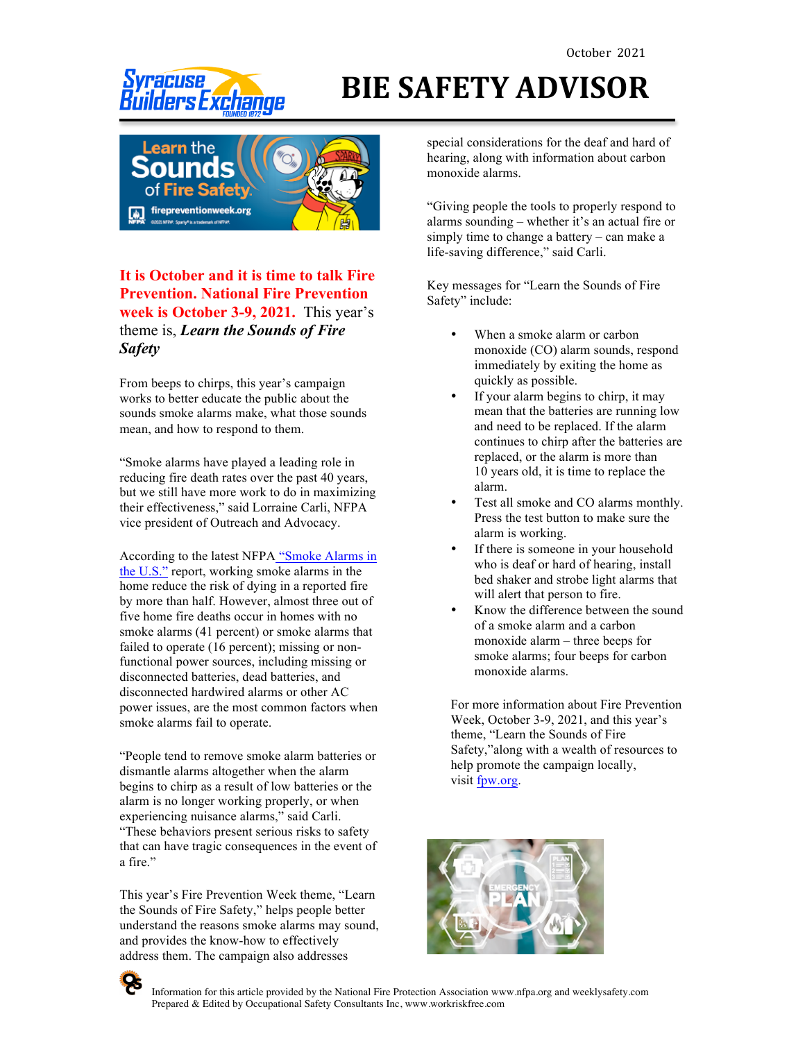# ders Exchange



### **It is October and it is time to talk Fire Prevention. National Fire Prevention week is October 3-9, 2021.** This year's theme is, *Learn the Sounds of Fire Safety*

From beeps to chirps, this year's campaign works to better educate the public about the sounds smoke alarms make, what those sounds mean, and how to respond to them.

"Smoke alarms have played a leading role in reducing fire death rates over the past 40 years, but we still have more work to do in maximizing their effectiveness," said Lorraine Carli, NFPA vice president of Outreach and Advocacy.

According to the latest NFPA "Smoke Alarms in the U.S." report, working smoke alarms in the home reduce the risk of dying in a reported fire by more than half. However, almost three out of five home fire deaths occur in homes with no smoke alarms (41 percent) or smoke alarms that failed to operate (16 percent); missing or nonfunctional power sources, including missing or disconnected batteries, dead batteries, and disconnected hardwired alarms or other AC power issues, are the most common factors when smoke alarms fail to operate.

"People tend to remove smoke alarm batteries or dismantle alarms altogether when the alarm begins to chirp as a result of low batteries or the alarm is no longer working properly, or when experiencing nuisance alarms," said Carli. "These behaviors present serious risks to safety that can have tragic consequences in the event of a fire."

This year's Fire Prevention Week theme, "Learn the Sounds of Fire Safety," helps people better understand the reasons smoke alarms may sound, and provides the know-how to effectively address them. The campaign also addresses

## **BIE SAFETY ADVISOR**

special considerations for the deaf and hard of hearing, along with information about carbon monoxide alarms.

"Giving people the tools to properly respond to alarms sounding – whether it's an actual fire or simply time to change a battery – can make a life-saving difference," said Carli.

Key messages for "Learn the Sounds of Fire Safety" include:

- When a smoke alarm or carbon monoxide (CO) alarm sounds, respond immediately by exiting the home as quickly as possible.
- If your alarm begins to chirp, it may mean that the batteries are running low and need to be replaced. If the alarm continues to chirp after the batteries are replaced, or the alarm is more than 10 years old, it is time to replace the alarm.
- Test all smoke and CO alarms monthly. Press the test button to make sure the alarm is working.
- If there is someone in your household who is deaf or hard of hearing, install bed shaker and strobe light alarms that will alert that person to fire.
- Know the difference between the sound of a smoke alarm and a carbon monoxide alarm – three beeps for smoke alarms; four beeps for carbon monoxide alarms.

For more information about Fire Prevention Week, October 3-9, 2021, and this year's theme, "Learn the Sounds of Fire Safety,"along with a wealth of resources to help promote the campaign locally, visit fpw.org.